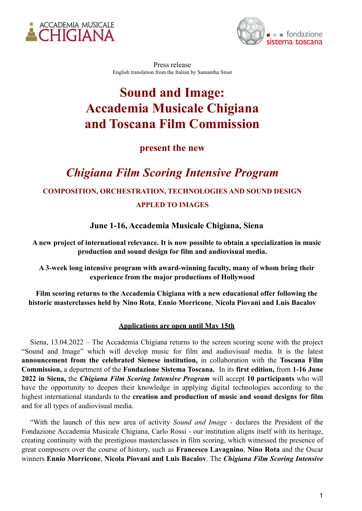



Press release English translation from the Italian by Samantha Stout

# **Sound and Image: Accademia Musicale Chigiana and Toscana Film Commission**

### **present the new**

## *Chigiana Film Scoring Intensive Program*

#### **COMPOSITION, ORCHESTRATION, TECHNOLOGIES AND SOUND DESIGN**

#### **APPLED TO IMAGES**

**June 1-16, Accademia Musicale Chigiana, Siena**

**A new project of international relevance. It is now possible to obtain a specialization in music production and sound design for film and audiovisual media.**

**A 3-week long intensive program with award-winning faculty, many of whom bring their experience from the major productions of Hollywood**

**Film scoring returns to the Accademia Chigiana with a new educational offer following the historic masterclasses held by Nino Rota**, **Ennio Morricone**, **Nicola Piovani and Luis Bacalov**

#### **Applications are open until May 15th**

Siena, 13.04.2022 – The Accademia Chigiana returns to the screen scoring scene with the project "Sound and Image" which will develop music for film and audiovisual media. It is the latest **announcement from the celebrated Sienese institution,** in collaboration with the **Toscana Film Commission,** a department of the **Fondazione Sistema Toscana.** In its **first edition,** from **1-16 June 2022 in Siena,** the *Chigiana Film Scoring Intensive Program* will accept **10 participants** who will have the opportunity to deepen their knowledge in applying digital technologies according to the highest international standards to the **creation and production of music and sound designs for film** and for all types of audiovisual media.

"With the launch of this new area of activity *Sound and Image* - declares the President of the Fondazione Accademia Musicale Chigiana, Carlo Rossi - our institution aligns itself with its heritage, creating continuity with the prestigious masterclasses in film scoring, which witnessed the presence of great composers over the course of history, such as **Francesco Lavagnino**, **Nino Rota** and the Oscar winners **Ennio Morricone**, **Nicola Piovani and Luis Bacalov**. The *Chigiana Film Scoring Intensive*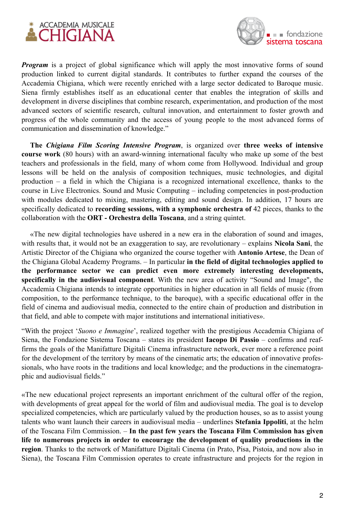



*Program* is a project of global significance which will apply the most innovative forms of sound production linked to current digital standards. It contributes to further expand the courses of the Accademia Chigiana, which were recently enriched with a large sector dedicated to Baroque music. Siena firmly establishes itself as an educational center that enables the integration of skills and development in diverse disciplines that combine research, experimentation, and production of the most advanced sectors of scientific research, cultural innovation, and entertainment to foster growth and progress of the whole community and the access of young people to the most advanced forms of communication and dissemination of knowledge."

**The** *Chigiana Film Scoring Intensive Program*, is organized over **three weeks of intensive course work** (80 hours) with an award-winning international faculty who make up some of the best teachers and professionals in the field, many of whom come from Hollywood. Individual and group lessons will be held on the analysis of composition techniques, music technologies, and digital production – a field in which the Chigiana is a recognized international excellence, thanks to the course in Live Electronics. Sound and Music Computing – including competencies in post-production with modules dedicated to mixing, mastering, editing and sound design. In addition, 17 hours are specifically dedicated to **recording sessions, with a symphonic orchestra of** 42 pieces, thanks to the collaboration with the **ORT - Orchestra della Toscana**, and a string quintet.

«The new digital technologies have ushered in a new era in the elaboration of sound and images, with results that, it would not be an exaggeration to say, are revolutionary – explains **Nicola Sani**, the Artistic Director of the Chigiana who organized the course together with **Antonio Artese**, the Dean of the Chigiana Global Academy Programs. – In particular **in the field of digital technologies applied to the performance sector we can predict even more extremely interesting developments, specifically in the audiovisual component**. With the new area of activity "Sound and Image", the Accademia Chigiana intends to integrate opportunities in higher education in all fields of music (from composition, to the performance technique, to the baroque), with a specific educational offer in the field of cinema and audiovisual media, connected to the entire chain of production and distribution in that field, and able to compete with major institutions and international initiatives».

"With the project '*Suono e Immagine*', realized together with the prestigious Accademia Chigiana of Siena, the Fondazione Sistema Toscana – states its president **Iacopo Di Passio** – confirms and reaffirms the goals of the Manifatture Digitali Cinema infrastructure network, ever more a reference point for the development of the territory by means of the cinematic arts; the education of innovative professionals, who have roots in the traditions and local knowledge; and the productions in the cinematographic and audiovisual fields."

«The new educational project represents an important enrichment of the cultural offer of the region, with developments of great appeal for the world of film and audiovisual media. The goal is to develop specialized competencies, which are particularly valued by the production houses, so as to assist young talents who want launch their careers in audiovisual media – underlines **Stefania Ippoliti**, at the helm of the Toscana Film Commission. – **In the past few years the Toscana Film Commission has given life to numerous projects in order to encourage the development of quality productions in the region**. Thanks to the network of Manifatture Digitali Cinema (in Prato, Pisa, Pistoia, and now also in Siena), the Toscana Film Commission operates to create infrastructure and projects for the region in